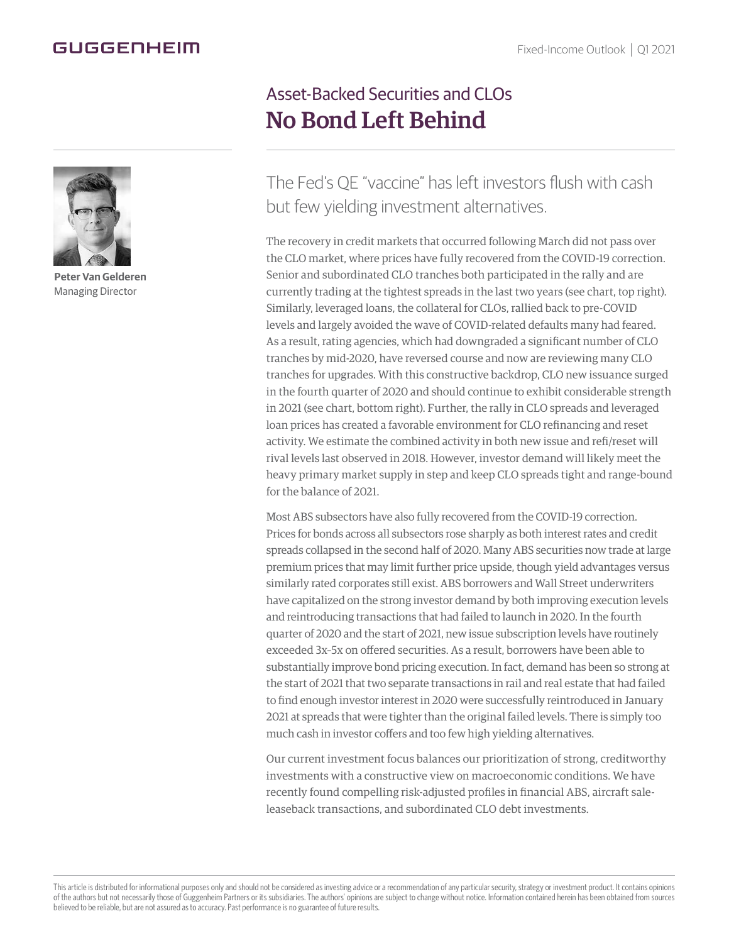## GUGGENHEIM



**Peter Van Gelderen** Managing Director

## Asset-Backed Securities and CLOs No Bond Left Behind

The Fed's QE "vaccine" has left investors flush with cash but few yielding investment alternatives.

The recovery in credit markets that occurred following March did not pass over the CLO market, where prices have fully recovered from the COVID-19 correction. Senior and subordinated CLO tranches both participated in the rally and are currently trading at the tightest spreads in the last two years (see chart, top right). Similarly, leveraged loans, the collateral for CLOs, rallied back to pre-COVID levels and largely avoided the wave of COVID-related defaults many had feared. As a result, rating agencies, which had downgraded a significant number of CLO tranches by mid-2020, have reversed course and now are reviewing many CLO tranches for upgrades. With this constructive backdrop, CLO new issuance surged in the fourth quarter of 2020 and should continue to exhibit considerable strength in 2021 (see chart, bottom right). Further, the rally in CLO spreads and leveraged loan prices has created a favorable environment for CLO refinancing and reset activity. We estimate the combined activity in both new issue and refi/reset will rival levels last observed in 2018. However, investor demand will likely meet the heavy primary market supply in step and keep CLO spreads tight and range-bound for the balance of 2021.

Most ABS subsectors have also fully recovered from the COVID-19 correction. Prices for bonds across all subsectors rose sharply as both interest rates and credit spreads collapsed in the second half of 2020. Many ABS securities now trade at large premium prices that may limit further price upside, though yield advantages versus similarly rated corporates still exist. ABS borrowers and Wall Street underwriters have capitalized on the strong investor demand by both improving execution levels and reintroducing transactions that had failed to launch in 2020. In the fourth quarter of 2020 and the start of 2021, new issue subscription levels have routinely exceeded 3x–5x on offered securities. As a result, borrowers have been able to substantially improve bond pricing execution. In fact, demand has been so strong at the start of 2021 that two separate transactions in rail and real estate that had failed to find enough investor interest in 2020 were successfully reintroduced in January 2021 at spreads that were tighter than the original failed levels. There is simply too much cash in investor coffers and too few high yielding alternatives.

Our current investment focus balances our prioritization of strong, creditworthy investments with a constructive view on macroeconomic conditions. We have recently found compelling risk-adjusted profiles in financial ABS, aircraft saleleaseback transactions, and subordinated CLO debt investments.

This article is distributed for informational purposes only and should not be considered as investing advice or a recommendation of any particular security, strategy or investment product. It contains opinions of the authors but not necessarily those of Guggenheim Partners or its subsidiaries. The authors' opinions are subject to change without notice. Information contained herein has been obtained from sources believed to be reliable, but are not assured as to accuracy. Past performance is no guarantee of future results.